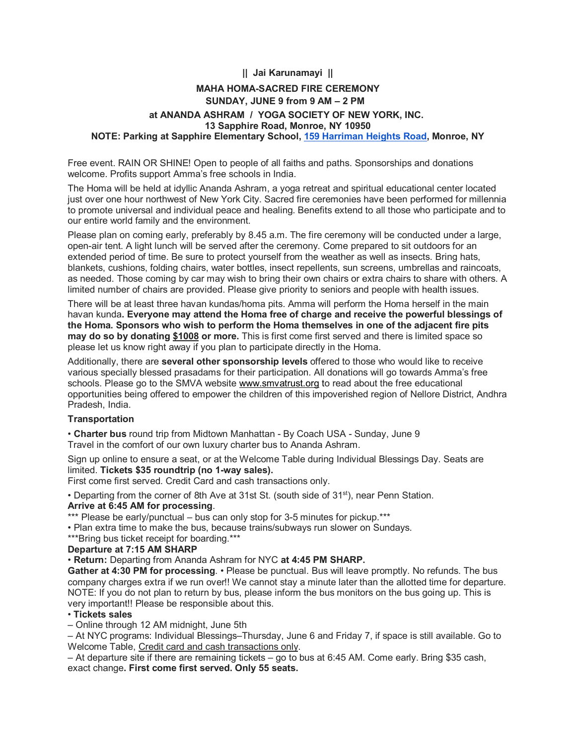## **|| Jai Karunamayi ||**

# **MAHA HOMA-SACRED FIRE CEREMONY SUNDAY, JUNE 9 from 9 AM – 2 PM at ANANDA ASHRAM / YOGA SOCIETY OF NEW YORK, INC. 13 Sapphire Road, Monroe, NY 10950 NOTE: Parking at Sapphire Elementary School, [159 Harriman Heights Road,](https://maps.google.com/?q=159+Harriman+Heights+Road&entry=gmail&source=g) Monroe, NY**

Free event. RAIN OR SHINE! Open to people of all faiths and paths. Sponsorships and donations welcome. Profits support Amma's free schools in India.

The Homa will be held at idyllic Ananda Ashram, a yoga retreat and spiritual educational center located just over one hour northwest of New York City. Sacred fire ceremonies have been performed for millennia to promote universal and individual peace and healing. Benefits extend to all those who participate and to our entire world family and the environment.

Please plan on coming early, preferably by 8.45 a.m. The fire ceremony will be conducted under a large, open-air tent. A light lunch will be served after the ceremony. Come prepared to sit outdoors for an extended period of time. Be sure to protect yourself from the weather as well as insects. Bring hats, blankets, cushions, folding chairs, water bottles, insect repellents, sun screens, umbrellas and raincoats, as needed. Those coming by car may wish to bring their own chairs or extra chairs to share with others. A limited number of chairs are provided. Please give priority to seniors and people with health issues.

There will be at least three havan kundas/homa pits. Amma will perform the Homa herself in the main havan kunda**. Everyone may attend the Homa free of charge and receive the powerful blessings of the Homa. Sponsors who wish to perform the Homa themselves in one of the adjacent fire pits may do so by donating \$1008 or more.** This is first come first served and there is limited space so please let us know right away if you plan to participate directly in the Homa.

Additionally, there are **several other sponsorship levels** offered to those who would like to receive various specially blessed prasadams for their participation. All donations will go towards Amma's free schools. Please go to the SMVA website [www.smvatrust.org](http://www.smvatrust.org/) to read about the free educational opportunities being offered to empower the children of this impoverished region of Nellore District, Andhra Pradesh, India.

#### **Transportation**

• **Charter bus** round trip from Midtown Manhattan - By Coach USA - Sunday, June 9 Travel in the comfort of our own luxury charter bus to Ananda Ashram.

Sign up online to ensure a seat, or at the Welcome Table during Individual Blessings Day. Seats are limited. **Tickets \$35 roundtrip (no 1-way sales).**

First come first served. Credit Card and cash transactions only.

• Departing from the corner of 8th Ave at 31st St. (south side of 31<sup>st</sup>), near Penn Station. **Arrive at 6:45 AM for processing**.

\*\*\* Please be early/punctual – bus can only stop for 3-5 minutes for pickup.\*\*\*

• Plan extra time to make the bus, because trains/subways run slower on Sundays.

\*\*\*Bring bus ticket receipt for boarding.\*\*\*

## **Departure at 7:15 AM SHARP**

• **Return:** Departing from Ananda Ashram for NYC **at 4:45 PM SHARP.**

**Gather at 4:30 PM for processing**. • Please be punctual. Bus will leave promptly. No refunds. The bus company charges extra if we run over!! We cannot stay a minute later than the allotted time for departure. NOTE: If you do not plan to return by bus, please inform the bus monitors on the bus going up. This is very important!! Please be responsible about this.

#### • **Tickets sales**

– Online through 12 AM midnight, June 5th

– At NYC programs: Individual Blessings–Thursday, June 6 and Friday 7, if space is still available. Go to Welcome Table, Credit card and cash transactions only.

– At departure site if there are remaining tickets – go to bus at 6:45 AM. Come early. Bring \$35 cash, exact change**. First come first served. Only 55 seats.**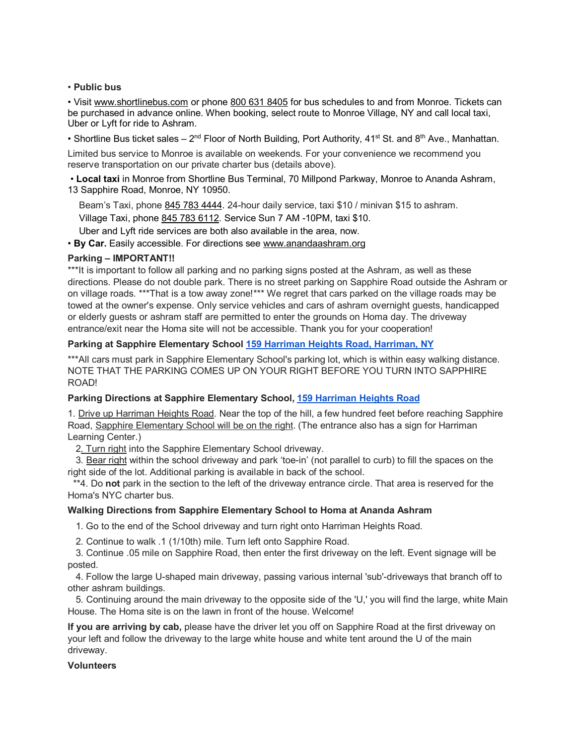## • **Public bus**

• Visit [www.shortlinebus.com](http://www.shortlinebus.com/) or phone [800 631 8405](tel:(800)%20631-8405) for bus schedules to and from Monroe. Tickets can be purchased in advance online. When booking, select route to Monroe Village, NY and call local taxi, Uber or Lyft for ride to Ashram.

• Shortline Bus ticket sales – 2<sup>nd</sup> Floor of North Building, Port Authority, 41<sup>st</sup> St. and 8<sup>th</sup> Ave., Manhattan.

Limited bus service to Monroe is available on weekends. For your convenience we recommend you reserve transportation on our private charter bus (details above).

• **Local taxi** in Monroe from Shortline Bus Terminal, 70 Millpond Parkway, Monroe to Ananda Ashram, 13 Sapphire Road, Monroe, NY 10950.

Beam's Taxi, phone [845 783 4444.](tel:(845)%20783-4444) 24-hour daily service, taxi \$10 / minivan \$15 to ashram. Village Taxi, phone [845 783 6112.](tel:(845)%20783-6112) Service Sun 7 AM -10PM, taxi \$10.

Uber and Lyft ride services are both also available in the area, now.

• **By Car.** Easily accessible. For directions see [www.anandaashram.org](http://www.anandaashram.org/)

## **Parking – IMPORTANT!!**

\*\*\*It is important to follow all parking and no parking signs posted at the Ashram, as well as these directions. Please do not double park. There is no street parking on Sapphire Road outside the Ashram or on village roads. \*\*\*That is a tow away zone!\*\*\* We regret that cars parked on the village roads may be towed at the owner's expense. Only service vehicles and cars of ashram overnight guests, handicapped or elderly guests or ashram staff are permitted to enter the grounds on Homa day. The driveway entrance/exit near the Homa site will not be accessible. Thank you for your cooperation!

## **Parking at Sapphire Elementary School [159 Harriman Heights Road, Harriman, NY](https://maps.google.com/?q=159+Harriman+Heights+Road,+Harriman,+NY&entry=gmail&source=g)**

\*\*\*All cars must park in Sapphire Elementary School's parking lot, which is within easy walking distance. NOTE THAT THE PARKING COMES UP ON YOUR RIGHT BEFORE YOU TURN INTO SAPPHIRE ROAD!

## **Parking Directions at Sapphire Elementary School, [159 Harriman Heights Road](https://maps.google.com/?q=159+Harriman+Heights+Road&entry=gmail&source=g)**

1. Drive up Harriman Heights Road. Near the top of the hill, a few hundred feet before reaching Sapphire Road, Sapphire Elementary School will be on the right. (The entrance also has a sign for Harriman Learning Center.)

2. Turn right into the Sapphire Elementary School driveway.

3. Bear right within the school driveway and park 'toe-in' (not parallel to curb) to fill the spaces on the right side of the lot. Additional parking is available in back of the school.

 \*\*4. Do **not** park in the section to the left of the driveway entrance circle. That area is reserved for the Homa's NYC charter bus.

## **Walking Directions from Sapphire Elementary School to Homa at Ananda Ashram**

1. Go to the end of the School driveway and turn right onto Harriman Heights Road.

2. Continue to walk .1 (1/10th) mile. Turn left onto Sapphire Road.

 3. Continue .05 mile on Sapphire Road, then enter the first driveway on the left. Event signage will be posted.

 4. Follow the large U-shaped main driveway, passing various internal 'sub'-driveways that branch off to other ashram buildings.

 5. Continuing around the main driveway to the opposite side of the 'U,' you will find the large, white Main House. The Homa site is on the lawn in front of the house. Welcome!

**If you are arriving by cab,** please have the driver let you off on Sapphire Road at the first driveway on your left and follow the driveway to the large white house and white tent around the U of the main driveway.

## **Volunteers**